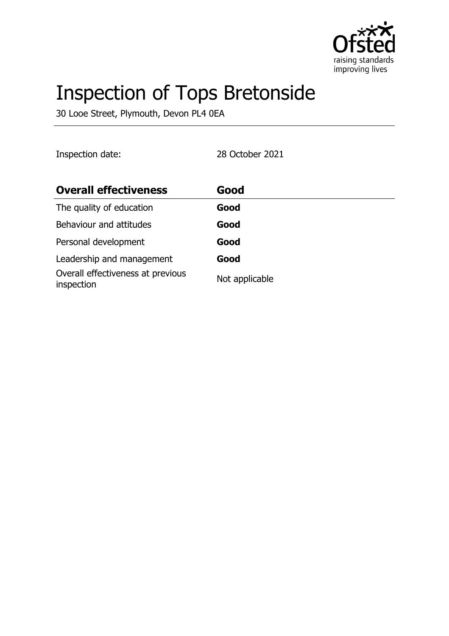

# Inspection of Tops Bretonside

30 Looe Street, Plymouth, Devon PL4 0EA

Inspection date: 28 October 2021

| <b>Overall effectiveness</b>                    | Good           |
|-------------------------------------------------|----------------|
| The quality of education                        | Good           |
| Behaviour and attitudes                         | Good           |
| Personal development                            | Good           |
| Leadership and management                       | Good           |
| Overall effectiveness at previous<br>inspection | Not applicable |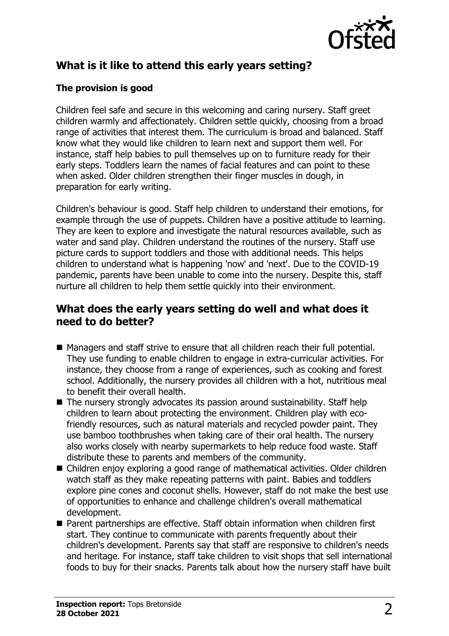

# **What is it like to attend this early years setting?**

### **The provision is good**

Children feel safe and secure in this welcoming and caring nursery. Staff greet children warmly and affectionately. Children settle quickly, choosing from a broad range of activities that interest them. The curriculum is broad and balanced. Staff know what they would like children to learn next and support them well. For instance, staff help babies to pull themselves up on to furniture ready for their early steps. Toddlers learn the names of facial features and can point to these when asked. Older children strengthen their finger muscles in dough, in preparation for early writing.

Children's behaviour is good. Staff help children to understand their emotions, for example through the use of puppets. Children have a positive attitude to learning. They are keen to explore and investigate the natural resources available, such as water and sand play. Children understand the routines of the nursery. Staff use picture cards to support toddlers and those with additional needs. This helps children to understand what is happening 'now' and 'next'. Due to the COVID-19 pandemic, parents have been unable to come into the nursery. Despite this, staff nurture all children to help them settle quickly into their environment.

## **What does the early years setting do well and what does it need to do better?**

- Managers and staff strive to ensure that all children reach their full potential. They use funding to enable children to engage in extra-curricular activities. For instance, they choose from a range of experiences, such as cooking and forest school. Additionally, the nursery provides all children with a hot, nutritious meal to benefit their overall health.
- $\blacksquare$  The nursery strongly advocates its passion around sustainability. Staff help children to learn about protecting the environment. Children play with ecofriendly resources, such as natural materials and recycled powder paint. They use bamboo toothbrushes when taking care of their oral health. The nursery also works closely with nearby supermarkets to help reduce food waste. Staff distribute these to parents and members of the community.
- Children enjoy exploring a good range of mathematical activities. Older children watch staff as they make repeating patterns with paint. Babies and toddlers explore pine cones and coconut shells. However, staff do not make the best use of opportunities to enhance and challenge children's overall mathematical development.
- Parent partnerships are effective. Staff obtain information when children first start. They continue to communicate with parents frequently about their children's development. Parents say that staff are responsive to children's needs and heritage. For instance, staff take children to visit shops that sell international foods to buy for their snacks. Parents talk about how the nursery staff have built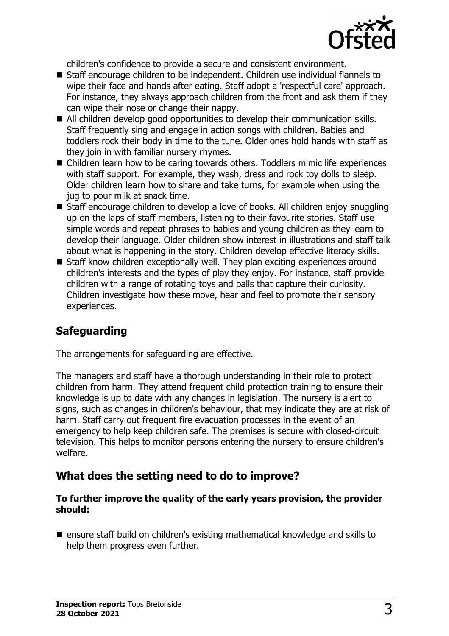

children's confidence to provide a secure and consistent environment.

- Staff encourage children to be independent. Children use individual flannels to wipe their face and hands after eating. Staff adopt a 'respectful care' approach. For instance, they always approach children from the front and ask them if they can wipe their nose or change their nappy.
- All children develop good opportunities to develop their communication skills. Staff frequently sing and engage in action songs with children. Babies and toddlers rock their body in time to the tune. Older ones hold hands with staff as they join in with familiar nursery rhymes.
- Children learn how to be caring towards others. Toddlers mimic life experiences with staff support. For example, they wash, dress and rock toy dolls to sleep. Older children learn how to share and take turns, for example when using the jug to pour milk at snack time.
- Staff encourage children to develop a love of books. All children enjoy snuggling up on the laps of staff members, listening to their favourite stories. Staff use simple words and repeat phrases to babies and young children as they learn to develop their language. Older children show interest in illustrations and staff talk about what is happening in the story. Children develop effective literacy skills.
- $\blacksquare$  Staff know children exceptionally well. They plan exciting experiences around children's interests and the types of play they enjoy. For instance, staff provide children with a range of rotating toys and balls that capture their curiosity. Children investigate how these move, hear and feel to promote their sensory experiences.

# **Safeguarding**

The arrangements for safeguarding are effective.

The managers and staff have a thorough understanding in their role to protect children from harm. They attend frequent child protection training to ensure their knowledge is up to date with any changes in legislation. The nursery is alert to signs, such as changes in children's behaviour, that may indicate they are at risk of harm. Staff carry out frequent fire evacuation processes in the event of an emergency to help keep children safe. The premises is secure with closed-circuit television. This helps to monitor persons entering the nursery to ensure children's welfare.

# **What does the setting need to do to improve?**

#### **To further improve the quality of the early years provision, the provider should:**

 $\blacksquare$  ensure staff build on children's existing mathematical knowledge and skills to help them progress even further.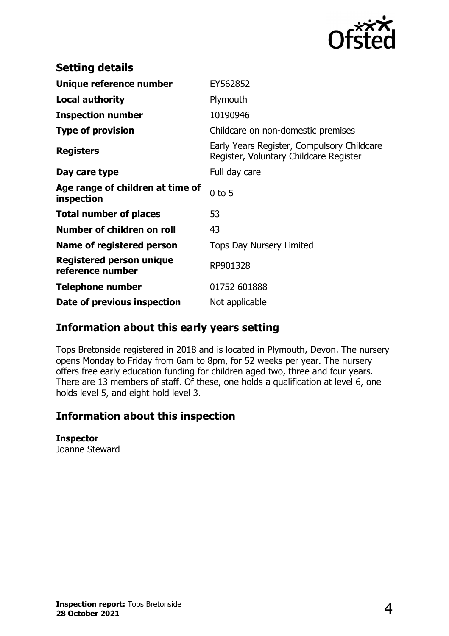

| <b>Setting details</b>                              |                                                                                      |
|-----------------------------------------------------|--------------------------------------------------------------------------------------|
| Unique reference number                             | EY562852                                                                             |
| <b>Local authority</b>                              | Plymouth                                                                             |
| <b>Inspection number</b>                            | 10190946                                                                             |
| <b>Type of provision</b>                            | Childcare on non-domestic premises                                                   |
| <b>Registers</b>                                    | Early Years Register, Compulsory Childcare<br>Register, Voluntary Childcare Register |
| Day care type                                       | Full day care                                                                        |
| Age range of children at time of<br>inspection      | $0$ to 5                                                                             |
| <b>Total number of places</b>                       | 53                                                                                   |
| Number of children on roll                          | 43                                                                                   |
| Name of registered person                           | <b>Tops Day Nursery Limited</b>                                                      |
| <b>Registered person unique</b><br>reference number | RP901328                                                                             |
| <b>Telephone number</b>                             | 01752 601888                                                                         |
| Date of previous inspection                         | Not applicable                                                                       |

## **Information about this early years setting**

Tops Bretonside registered in 2018 and is located in Plymouth, Devon. The nursery opens Monday to Friday from 6am to 8pm, for 52 weeks per year. The nursery offers free early education funding for children aged two, three and four years. There are 13 members of staff. Of these, one holds a qualification at level 6, one holds level 5, and eight hold level 3.

## **Information about this inspection**

#### **Inspector**

Joanne Steward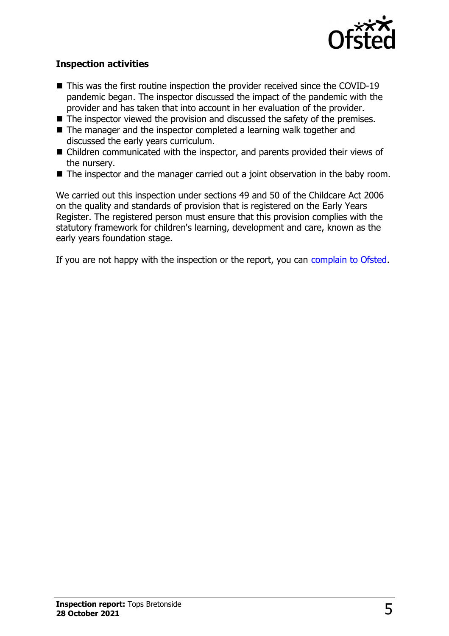

#### **Inspection activities**

- $\blacksquare$  This was the first routine inspection the provider received since the COVID-19 pandemic began. The inspector discussed the impact of the pandemic with the provider and has taken that into account in her evaluation of the provider.
- $\blacksquare$  The inspector viewed the provision and discussed the safety of the premises.
- $\blacksquare$  The manager and the inspector completed a learning walk together and discussed the early years curriculum.
- $\blacksquare$  Children communicated with the inspector, and parents provided their views of the nursery.
- $\blacksquare$  The inspector and the manager carried out a joint observation in the baby room.

We carried out this inspection under sections 49 and 50 of the Childcare Act 2006 on the quality and standards of provision that is registered on the Early Years Register. The registered person must ensure that this provision complies with the statutory framework for children's learning, development and care, known as the early years foundation stage.

If you are not happy with the inspection or the report, you can [complain to Ofsted](http://www.gov.uk/complain-ofsted-report).